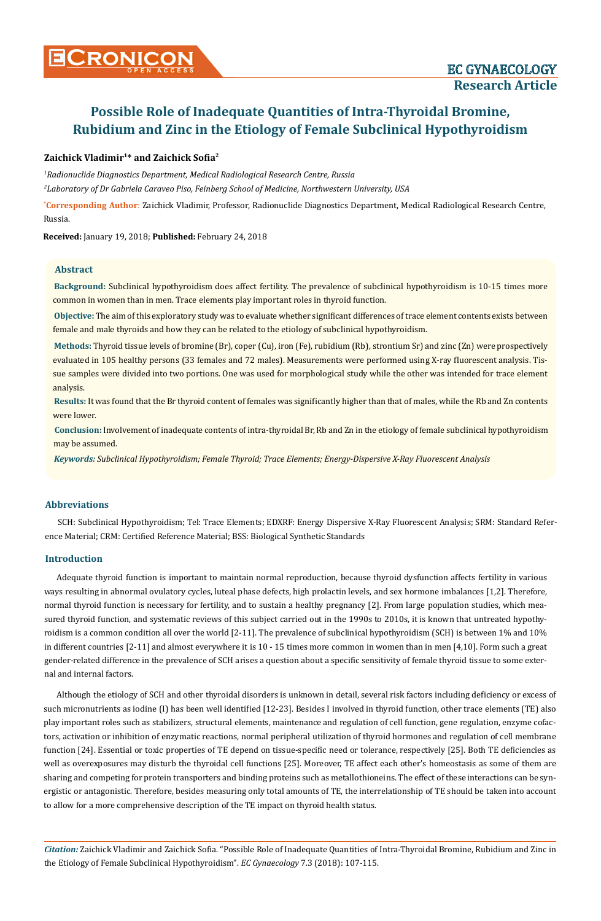## **Zaichick Vladimir1\* and Zaichick Sofia<sup>2</sup>**

*1 Radionuclide Diagnostics Department, Medical Radiological Research Centre, Russia*

*2 Laboratory of Dr Gabriela Caraveo Piso, Feinberg School of Medicine, Northwestern University, USA*

**\* Corresponding Author**: Zaichick Vladimir, Professor, Radionuclide Diagnostics Department, Medical Radiological Research Centre, Russia.

**Received:** January 19, 2018; **Published:** February 24, 2018

#### **Abstract**

**Background:** Subclinical hypothyroidism does affect fertility. The prevalence of subclinical hypothyroidism is 10-15 times more common in women than in men. Trace elements play important roles in thyroid function.

**Objective:** The aim of this exploratory study was to evaluate whether significant differences of trace element contents exists between female and male thyroids and how they can be related to the etiology of subclinical hypothyroidism.

**Methods:** Thyroid tissue levels of bromine (Br), coper (Cu), iron (Fe), rubidium (Rb), strontium Sr) and zinc (Zn) were prospectively evaluated in 105 healthy persons (33 females and 72 males). Measurements were performed using X-ray fluorescent analysis. Tissue samples were divided into two portions. One was used for morphological study while the other was intended for trace element analysis.

**Results:** It was found that the Br thyroid content of females was significantly higher than that of males, while the Rb and Zn contents were lower.

**Conclusion:** Involvement of inadequate contents of intra-thyroidal Br, Rb and Zn in the etiology of female subclinical hypothyroidism may be assumed.

*Keywords: Subclinical Hypothyroidism; Female Thyroid; Trace Elements; Energy-Dispersive X-Ray Fluorescent Analysis*

### **Abbreviations**

SCH: Subclinical Hypothyroidism; Tel: Trace Elements; EDXRF: Energy Dispersive X-Ray Fluorescent Analysis; SRM: Standard Reference Material; CRM: Certified Reference Material; BSS: Biological Synthetic Standards

#### **Introduction**

Adequate thyroid function is important to maintain normal reproduction, because thyroid dysfunction affects fertility in various ways resulting in abnormal ovulatory cycles, luteal phase defects, high prolactin levels, and sex hormone imbalances [1,2]. Therefore, normal thyroid function is necessary for fertility, and to sustain a healthy pregnancy [2]. From large population studies, which measured thyroid function, and systematic reviews of this subject carried out in the 1990s to 2010s, it is known that untreated hypothyroidism is a common condition all over the world [2-11]. The prevalence of subclinical hypothyroidism (SCH) is between 1% and 10% in different countries [2-11] and almost everywhere it is 10 - 15 times more common in women than in men [4,10]. Form such a great gender-related difference in the prevalence of SCH arises a question about a specific sensitivity of female thyroid tissue to some external and internal factors.

Although the etiology of SCH and other thyroidal disorders is unknown in detail, several risk factors including deficiency or excess of such micronutrients as iodine (I) has been well identified [12-23]. Besides I involved in thyroid function, other trace elements (TE) also play important roles such as stabilizers, structural elements, maintenance and regulation of cell function, gene regulation, enzyme cofactors, activation or inhibition of enzymatic reactions, normal peripheral utilization of thyroid hormones and regulation of cell membrane function [24]. Essential or toxic properties of TE depend on tissue-specific need or tolerance, respectively [25]. Both TE deficiencies as well as overexposures may disturb the thyroidal cell functions [25]. Moreover, TE affect each other's homeostasis as some of them are sharing and competing for protein transporters and binding proteins such as metallothioneins. The effect of these interactions can be synergistic or antagonistic. Therefore, besides measuring only total amounts of TE, the interrelationship of TE should be taken into account to allow for a more comprehensive description of the TE impact on thyroid health status.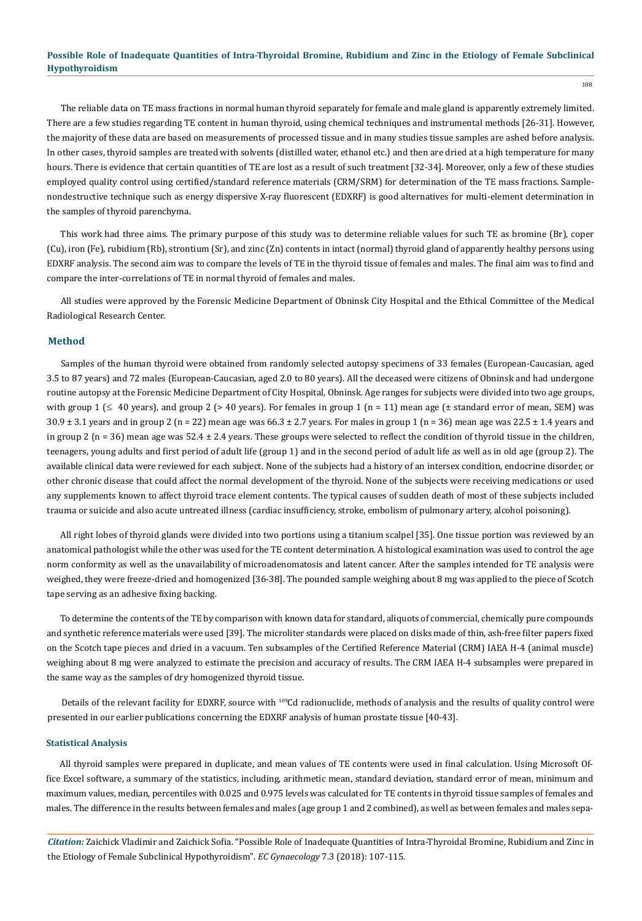108

The reliable data on TE mass fractions in normal human thyroid separately for female and male gland is apparently extremely limited. There are a few studies regarding TE content in human thyroid, using chemical techniques and instrumental methods [26-31]. However, the majority of these data are based on measurements of processed tissue and in many studies tissue samples are ashed before analysis. In other cases, thyroid samples are treated with solvents (distilled water, ethanol etc.) and then are dried at a high temperature for many hours. There is evidence that certain quantities of TE are lost as a result of such treatment [32-34]. Moreover, only a few of these studies employed quality control using certified/standard reference materials (CRM/SRM) for determination of the TE mass fractions. Samplenondestructive technique such as energy dispersive X-ray fluorescent (EDXRF) is good alternatives for multi-element determination in the samples of thyroid parenchyma.

This work had three aims. The primary purpose of this study was to determine reliable values for such TE as bromine (Br), coper (Cu), iron (Fe), rubidium (Rb), strontium (Sr), and zinc (Zn) contents in intact (normal) thyroid gland of apparently healthy persons using EDXRF analysis. The second aim was to compare the levels of TE in the thyroid tissue of females and males. The final aim was to find and compare the inter-correlations of TE in normal thyroid of females and males.

All studies were approved by the Forensic Medicine Department of Obninsk City Hospital and the Ethical Committee of the Medical Radiological Research Center.

#### **Method**

Samples of the human thyroid were obtained from randomly selected autopsy specimens of 33 females (European-Caucasian, aged 3.5 to 87 years) and 72 males (European-Caucasian, aged 2.0 to 80 years). All the deceased were citizens of Obninsk and had undergone routine autopsy at the Forensic Medicine Department of City Hospital, Obninsk. Age ranges for subjects were divided into two age groups, with group  $1 \leq 40$  years), and group 2 (> 40 years). For females in group  $1$  (n = 11) mean age ( $\pm$  standard error of mean, SEM) was 30.9  $\pm$  3.1 years and in group 2 (n = 22) mean age was 66.3  $\pm$  2.7 years. For males in group 1 (n = 36) mean age was 22.5  $\pm$  1.4 years and in group 2 ( $n = 36$ ) mean age was  $52.4 \pm 2.4$  years. These groups were selected to reflect the condition of thyroid tissue in the children, teenagers, young adults and first period of adult life (group 1) and in the second period of adult life as well as in old age (group 2). The available clinical data were reviewed for each subject. None of the subjects had a history of an intersex condition, endocrine disorder, or other chronic disease that could affect the normal development of the thyroid. None of the subjects were receiving medications or used any supplements known to affect thyroid trace element contents. The typical causes of sudden death of most of these subjects included trauma or suicide and also acute untreated illness (cardiac insufficiency, stroke, embolism of pulmonary artery, alcohol poisoning).

All right lobes of thyroid glands were divided into two portions using a titanium scalpel [35]. One tissue portion was reviewed by an anatomical pathologist while the other was used for the TE content determination. A histological examination was used to control the age norm conformity as well as the unavailability of microadenomatosis and latent cancer. After the samples intended for TE analysis were weighed, they were freeze-dried and homogenized [36-38]. The pounded sample weighing about 8 mg was applied to the piece of Scotch tape serving as an adhesive fixing backing.

To determine the contents of the TE by comparison with known data for standard, aliquots of commercial, chemically pure compounds and synthetic reference materials were used [39]. The microliter standards were placed on disks made of thin, ash-free filter papers fixed on the Scotch tape pieces and dried in a vacuum. Ten subsamples of the Certified Reference Material (CRM) IAEA H-4 (animal muscle) weighing about 8 mg were analyzed to estimate the precision and accuracy of results. The CRM IAEA H-4 subsamples were prepared in the same way as the samples of dry homogenized thyroid tissue.

Details of the relevant facility for EDXRF, source with <sup>109</sup>Cd radionuclide, methods of analysis and the results of quality control were presented in our earlier publications concerning the EDXRF analysis of human prostate tissue [40-43].

#### **Statistical Analysis**

All thyroid samples were prepared in duplicate, and mean values of TE contents were used in final calculation. Using Microsoft Office Excel software, a summary of the statistics, including, arithmetic mean, standard deviation, standard error of mean, minimum and maximum values, median, percentiles with 0.025 and 0.975 levels was calculated for TE contents in thyroid tissue samples of females and males. The difference in the results between females and males (age group 1 and 2 combined), as well as between females and males sepa-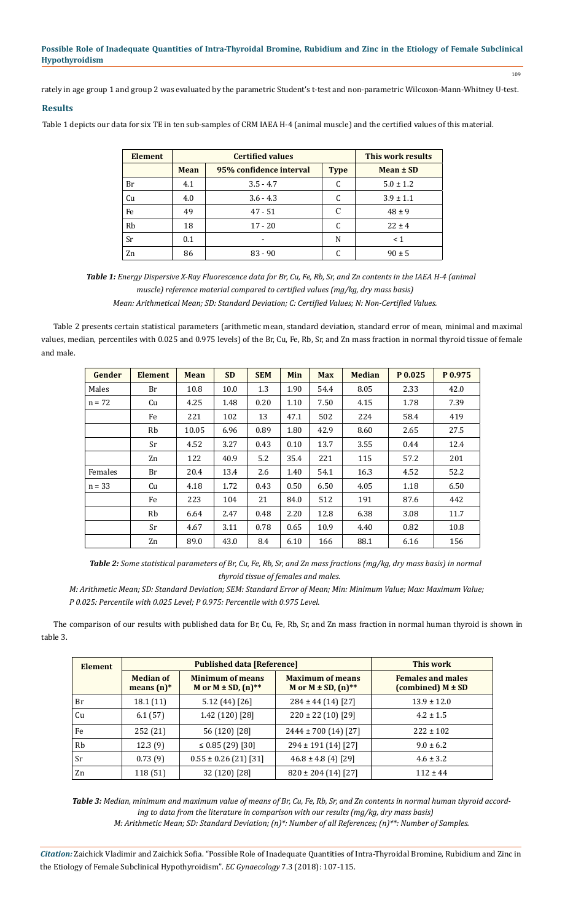109

rately in age group 1 and group 2 was evaluated by the parametric Student's t-test and non-parametric Wilcoxon-Mann-Whitney U-test.

# **Results**

Table 1 depicts our data for six TE in ten sub-samples of CRM IAEA H-4 (animal muscle) and the certified values of this material.

| <b>Element</b> |                                                       | <b>Certified values</b> | This work results |               |
|----------------|-------------------------------------------------------|-------------------------|-------------------|---------------|
|                | 95% confidence interval<br><b>Mean</b><br><b>Type</b> |                         |                   | $Mean \pm SD$ |
| Br             | 4.1                                                   | $3.5 - 4.7$             | C                 | $5.0 \pm 1.2$ |
| Cu             | 4.0                                                   | $3.6 - 4.3$             | C                 | $3.9 \pm 1.1$ |
| Fe             | 49                                                    | $47 - 51$               | C                 | $48 \pm 9$    |
| <b>Rb</b>      | 18                                                    | $17 - 20$               | C                 | $22 \pm 4$    |
| Sr             | 0.1                                                   |                         | N                 | < 1           |
| Zn             | 86                                                    | $83 - 90$               |                   | $90 \pm 5$    |

*Table 1: Energy Dispersive X-Ray Fluorescence data for Br, Cu, Fe, Rb, Sr, and Zn contents in the IAEA H-4 (animal muscle) reference material compared to certified values (mg/kg, dry mass basis) Mean: Arithmetical Mean; SD: Standard Deviation; C: Certified Values; N: Non-Certified Values.*

Table 2 presents certain statistical parameters (arithmetic mean, standard deviation, standard error of mean, minimal and maximal values, median, percentiles with 0.025 and 0.975 levels) of the Br, Cu, Fe, Rb, Sr, and Zn mass fraction in normal thyroid tissue of female and male.

| Gender   | <b>Element</b> | <b>Mean</b> | <b>SD</b> | <b>SEM</b> | <b>Min</b> | <b>Max</b> | <b>Median</b> | P 0.025 | P 0.975 |
|----------|----------------|-------------|-----------|------------|------------|------------|---------------|---------|---------|
| Males    | Br             | 10.8        | 10.0      | 1.3        | 1.90       | 54.4       | 8.05          | 2.33    | 42.0    |
| $n = 72$ | Cu             | 4.25        | 1.48      | 0.20       | 1.10       | 7.50       | 4.15          | 1.78    | 7.39    |
|          | Fe             | 221         | 102       | 13         | 47.1       | 502        | 224           | 58.4    | 419     |
|          | Rb             | 10.05       | 6.96      | 0.89       | 1.80       | 42.9       | 8.60          | 2.65    | 27.5    |
|          | <b>Sr</b>      | 4.52        | 3.27      | 0.43       | 0.10       | 13.7       | 3.55          | 0.44    | 12.4    |
|          | Zn             | 122         | 40.9      | 5.2        | 35.4       | 221        | 115           | 57.2    | 201     |
| Females  | Br             | 20.4        | 13.4      | 2.6        | 1.40       | 54.1       | 16.3          | 4.52    | 52.2    |
| $n = 33$ | Cu             | 4.18        | 1.72      | 0.43       | 0.50       | 6.50       | 4.05          | 1.18    | 6.50    |
|          | Fe             | 223         | 104       | 21         | 84.0       | 512        | 191           | 87.6    | 442     |
|          | Rb             | 6.64        | 2.47      | 0.48       | 2.20       | 12.8       | 6.38          | 3.08    | 11.7    |
|          | Sr             | 4.67        | 3.11      | 0.78       | 0.65       | 10.9       | 4.40          | 0.82    | 10.8    |
|          | Zn             | 89.0        | 43.0      | 8.4        | 6.10       | 166        | 88.1          | 6.16    | 156     |

*Table 2: Some statistical parameters of Br, Cu, Fe, Rb, Sr, and Zn mass fractions (mg/kg, dry mass basis) in normal thyroid tissue of females and males.*

*M: Arithmetic Mean; SD: Standard Deviation; SEM: Standard Error of Mean; Min: Minimum Value; Max: Maximum Value; P 0.025: Percentile with 0.025 Level; P 0.975: Percentile with 0.975 Level.*

The comparison of our results with published data for Br, Cu, Fe, Rb, Sr, and Zn mass fraction in normal human thyroid is shown in table 3.

| <b>Element</b> |                                   | <b>Published data [Reference]</b>                                | This work                                            |                                                   |  |
|----------------|-----------------------------------|------------------------------------------------------------------|------------------------------------------------------|---------------------------------------------------|--|
|                | <b>Median of</b><br>means $(n)^*$ | <b>Minimum of means</b><br>M or $M \pm SD$ , $(n)$ <sup>**</sup> | <b>Maximum of means</b><br>M or $M \pm SD$ , $(n)**$ | <b>Females and males</b><br>(combined) $M \pm SD$ |  |
| Br             | 18.1 (11)                         | 5.12 (44) [26]                                                   | $284 \pm 44(14)[27]$                                 | $13.9 \pm 12.0$                                   |  |
| Cu             | 6.1(57)                           | 1.42 (120) [28]                                                  | $220 \pm 22$ (10) [29]                               | $4.2 \pm 1.5$                                     |  |
| Fe             | 252 (21)                          | 56 (120) [28]                                                    | $2444 \pm 700$ (14) [27]                             | $222 \pm 102$                                     |  |
| Rb             | 12.3(9)                           | $\leq$ 0.85 (29) [30]                                            | $294 \pm 191$ (14) [27]                              | $9.0 \pm 6.2$                                     |  |
| <b>Sr</b>      | 0.73(9)                           | $0.55 \pm 0.26$ (21) [31]                                        | $46.8 \pm 4.8$ (4) [29]                              | $4.6 \pm 3.2$                                     |  |
| Zn             | 118 (51)                          | 32 (120) [28]                                                    | $820 \pm 204$ (14) [27]                              | $112 \pm 44$                                      |  |

*Table 3: Median, minimum and maximum value of means of Br, Cu, Fe, Rb, Sr, and Zn contents in normal human thyroid according to data from the literature in comparison with our results (mg/kg, dry mass basis) M: Arithmetic Mean; SD: Standard Deviation; (n)\*: Number of all References; (n)\*\*: Number of Samples.*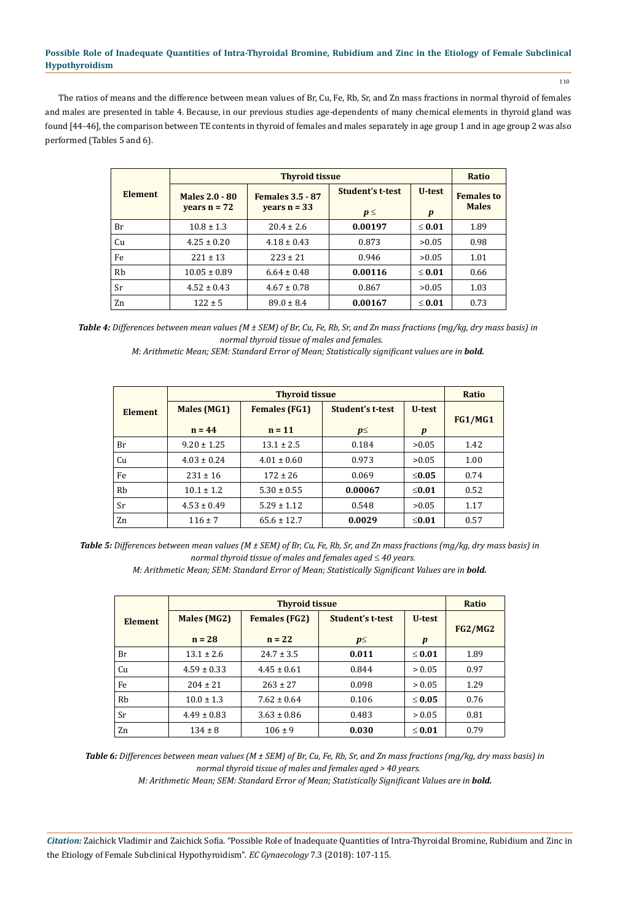The ratios of means and the difference between mean values of Br, Cu, Fe, Rb, Sr, and Zn mass fractions in normal thyroid of females and males are presented in table 4. Because, in our previous studies age-dependents of many chemical elements in thyroid gland was found [44-46], the comparison between TE contents in thyroid of females and males separately in age group 1 and in age group 2 was also performed (Tables 5 and 6).

|                |                       | <b>Thyroid tissue</b>   |                  |                  |                   |  |  |
|----------------|-----------------------|-------------------------|------------------|------------------|-------------------|--|--|
| <b>Element</b> | <b>Males 2.0 - 80</b> | <b>Females 3.5 - 87</b> | Student's t-test | U-test           | <b>Females to</b> |  |  |
|                | years $n = 72$        | years $n = 33$          | $p \leq$         | $\boldsymbol{p}$ | <b>Males</b>      |  |  |
| Br             | $10.8 \pm 1.3$        | $20.4 \pm 2.6$          | 0.00197          | $\leq 0.01$      | 1.89              |  |  |
| Cu             | $4.25 \pm 0.20$       | $4.18 \pm 0.43$         | 0.873            | >0.05            | 0.98              |  |  |
| Fe             | $221 \pm 13$          | $223 \pm 21$            | 0.946            | >0.05            | 1.01              |  |  |
| Rb             | $10.05 \pm 0.89$      | $6.64 \pm 0.48$         | 0.00116          | $\leq 0.01$      | 0.66              |  |  |
| Sr             | $4.52 \pm 0.43$       | $4.67 \pm 0.78$         | 0.867            | >0.05            | 1.03              |  |  |
| Zn             | $122 \pm 5$           | $89.0 \pm 8.4$          | 0.00167          | $\leq 0.01$      | 0.73              |  |  |

*Table 4: Differences between mean values (M ± SEM) of Br, Cu, Fe, Rb, Sr, and Zn mass fractions (mg/kg, dry mass basis) in normal thyroid tissue of males and females.* 

*M: Arithmetic Mean; SEM: Standard Error of Mean; Statistically significant values are in bold.* 

|                |                 | <b>Thyroid tissue</b> |                  |                  |                |  |  |
|----------------|-----------------|-----------------------|------------------|------------------|----------------|--|--|
| <b>Element</b> | Males (MG1)     | <b>Females (FG1)</b>  | Student's t-test | U-test           | <b>FG1/MG1</b> |  |  |
|                | $n = 44$        | $n = 11$              | $p \leq$         | $\boldsymbol{p}$ |                |  |  |
| Br             | $9.20 \pm 1.25$ | $13.1 \pm 2.5$        | 0.184            | >0.05            | 1.42           |  |  |
| Cu             | $4.03 \pm 0.24$ | $4.01 \pm 0.60$       | 0.973            | >0.05            | 1.00           |  |  |
| Fe             | $231 \pm 16$    | $172 \pm 26$          | 0.069            | $\leq 0.05$      | 0.74           |  |  |
| Rb             | $10.1 \pm 1.2$  | $5.30 \pm 0.55$       | 0.00067          | $\leq 0.01$      | 0.52           |  |  |
| Sr             | $4.53 \pm 0.49$ | $5.29 \pm 1.12$       | 0.548            | >0.05            | 1.17           |  |  |
| Zn             | $116 \pm 7$     | $65.6 \pm 12.7$       | 0.0029           | $\leq 0.01$      | 0.57           |  |  |

*Table 5: Differences between mean values (M ± SEM) of Br, Cu, Fe, Rb, Sr, and Zn mass fractions (mg/kg, dry mass basis) in normal thyroid tissue of males and females aged 40 years.*

*M: Arithmetic Mean; SEM: Standard Error of Mean; Statistically Significant Values are in bold.* 

|                |                                                                | <b>Thyroid tissue</b> |          | Ratio            |      |
|----------------|----------------------------------------------------------------|-----------------------|----------|------------------|------|
| <b>Element</b> | <b>Student's t-test</b><br><b>Females (FG2)</b><br>Males (MG2) |                       | U-test   | <b>FG2/MG2</b>   |      |
|                | $n = 28$                                                       | $n = 22$              | $p \leq$ | $\boldsymbol{p}$ |      |
| Br             | $13.1 \pm 2.6$                                                 | $24.7 \pm 3.5$        | 0.011    | $\leq 0.01$      | 1.89 |
| Cu             | $4.59 \pm 0.33$                                                | $4.45 \pm 0.61$       | 0.844    | > 0.05           | 0.97 |
| Fe             | $204 \pm 21$                                                   | $263 \pm 27$          | 0.098    | > 0.05           | 1.29 |
| Rb             | $10.0 \pm 1.3$                                                 | $7.62 \pm 0.64$       | 0.106    | $\leq 0.05$      | 0.76 |
| Sr             | $4.49 \pm 0.83$                                                | $3.63 \pm 0.86$       | 0.483    | > 0.05           | 0.81 |
| Zn             | $134 \pm 8$                                                    | $106 \pm 9$           | 0.030    | $\leq 0.01$      | 0.79 |

*Table 6: Differences between mean values (M ± SEM) of Br, Cu, Fe, Rb, Sr, and Zn mass fractions (mg/kg, dry mass basis) in normal thyroid tissue of males and females aged > 40 years.*

*M: Arithmetic Mean; SEM: Standard Error of Mean; Statistically Significant Values are in bold.* 

*Citation:* Zaichick Vladimir and Zaichick Sofia. "Possible Role of Inadequate Quantities of Intra-Thyroidal Bromine, Rubidium and Zinc in the Etiology of Female Subclinical Hypothyroidism". *EC Gynaecology* 7.3 (2018): 107-115.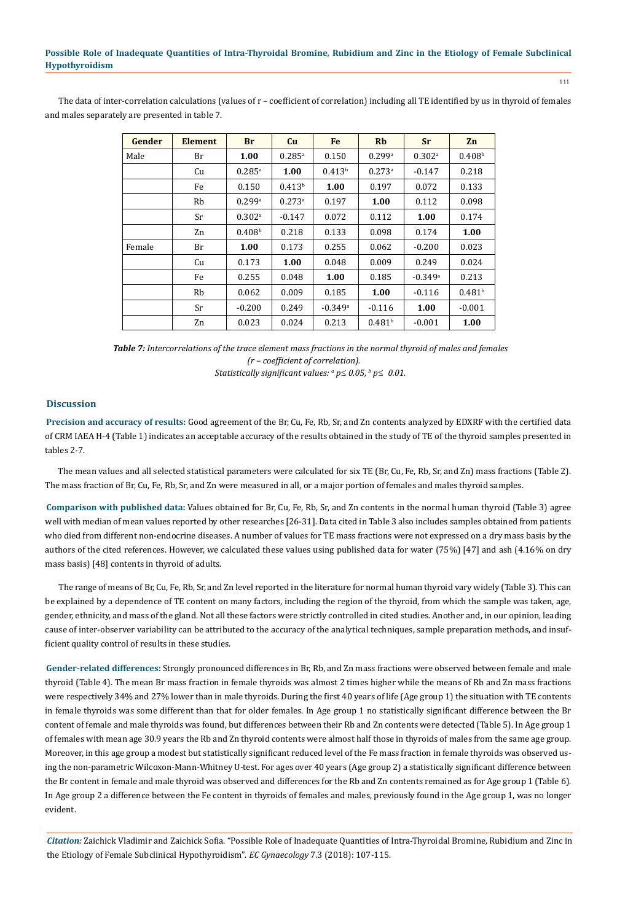The data of inter-correlation calculations (values of r – coefficient of correlation) including all TE identified by us in thyroid of females and males separately are presented in table 7.

| Gender | Element | <b>Br</b>            | <b>Cu</b>            | Fe                    | Rb                   | <b>Sr</b>             | Zn                 |
|--------|---------|----------------------|----------------------|-----------------------|----------------------|-----------------------|--------------------|
| Male   | Br      | 1.00                 | $0.285^{a}$          | 0.150                 | 0.299a               | $0.302$ <sup>a</sup>  | 0.408 <sup>b</sup> |
|        | Cu      | $0.285$ <sup>a</sup> | 1.00                 | 0.413 <sup>b</sup>    | $0.273$ <sup>a</sup> | $-0.147$              | 0.218              |
|        | Fe      | 0.150                | 0.413 <sup>b</sup>   | 1.00                  | 0.197                | 0.072                 | 0.133              |
|        | Rb      | 0.299a               | $0.273$ <sup>a</sup> | 0.197                 | 1.00                 | 0.112                 | 0.098              |
|        | Sr      | $0.302$ <sup>a</sup> | $-0.147$             | 0.072                 | 0.112                | 1.00                  | 0.174              |
|        | Zn      | 0.408 <sup>b</sup>   | 0.218                | 0.133                 | 0.098                | 0.174                 | 1.00               |
| Female | Br      | 1.00                 | 0.173                | 0.255                 | 0.062                | $-0.200$              | 0.023              |
|        | Cu      | 0.173                | 1.00                 | 0.048                 | 0.009                | 0.249                 | 0.024              |
|        | Fe      | 0.255                | 0.048                | 1.00                  | 0.185                | $-0.349$ <sup>a</sup> | 0.213              |
|        | Rb      | 0.062                | 0.009                | 0.185                 | 1.00                 | $-0.116$              | 0.481 <sup>b</sup> |
|        | Sr      | $-0.200$             | 0.249                | $-0.349$ <sup>a</sup> | $-0.116$             | 1.00                  | $-0.001$           |
|        | Zn      | 0.023                | 0.024                | 0.213                 | 0.481 <sup>b</sup>   | $-0.001$              | 1.00               |

*Table 7: Intercorrelations of the trace element mass fractions in the normal thyroid of males and females (r – coefficient of correlation). Statistically significant values:*  $a$   $p \le 0.05$ ,  $b$   $p \le 0.01$ .

#### **Discussion**

**Precision and accuracy of results:** Good agreement of the Br, Cu, Fe, Rb, Sr, and Zn contents analyzed by EDXRF with the certified data of CRM IAEA H-4 (Table 1) indicates an acceptable accuracy of the results obtained in the study of TE of the thyroid samples presented in tables 2-7.

The mean values and all selected statistical parameters were calculated for six TE (Br, Cu, Fe, Rb, Sr, and Zn) mass fractions (Table 2). The mass fraction of Br, Cu, Fe, Rb, Sr, and Zn were measured in all, or a major portion of females and males thyroid samples.

**Comparison with published data:** Values obtained for Br, Cu, Fe, Rb, Sr, and Zn contents in the normal human thyroid (Table 3) agree well with median of mean values reported by other researches [26-31]. Data cited in Table 3 also includes samples obtained from patients who died from different non-endocrine diseases. A number of values for TE mass fractions were not expressed on a dry mass basis by the authors of the cited references. However, we calculated these values using published data for water (75%) [47] and ash (4.16% on dry mass basis) [48] contents in thyroid of adults.

The range of means of Br, Cu, Fe, Rb, Sr, and Zn level reported in the literature for normal human thyroid vary widely (Table 3). This can be explained by a dependence of TE content on many factors, including the region of the thyroid, from which the sample was taken, age, gender, ethnicity, and mass of the gland. Not all these factors were strictly controlled in cited studies. Another and, in our opinion, leading cause of inter-observer variability can be attributed to the accuracy of the analytical techniques, sample preparation methods, and insufficient quality control of results in these studies.

**Gender-related differences:** Strongly pronounced differences in Br, Rb, and Zn mass fractions were observed between female and male thyroid (Table 4). The mean Br mass fraction in female thyroids was almost 2 times higher while the means of Rb and Zn mass fractions were respectively 34% and 27% lower than in male thyroids. During the first 40 years of life (Age group 1) the situation with TE contents in female thyroids was some different than that for older females. In Age group 1 no statistically significant difference between the Br content of female and male thyroids was found, but differences between their Rb and Zn contents were detected (Table 5). In Age group 1 of females with mean age 30.9 years the Rb and Zn thyroid contents were almost half those in thyroids of males from the same age group. Moreover, in this age group a modest but statistically significant reduced level of the Fe mass fraction in female thyroids was observed using the non-parametric Wilcoxon-Mann-Whitney U-test. For ages over 40 years (Age group 2) a statistically significant difference between the Br content in female and male thyroid was observed and differences for the Rb and Zn contents remained as for Age group 1 (Table 6). In Age group 2 a difference between the Fe content in thyroids of females and males, previously found in the Age group 1, was no longer evident.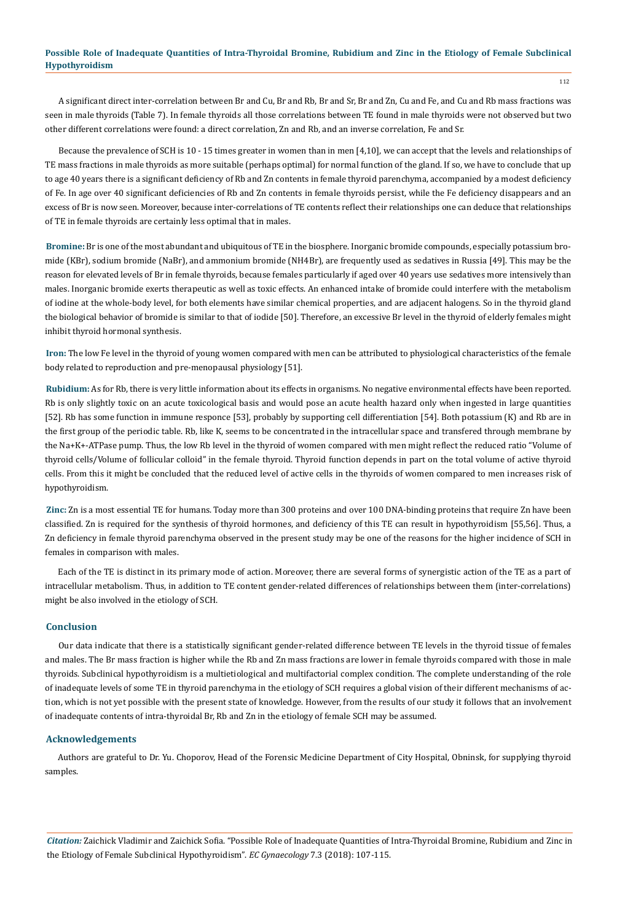A significant direct inter-correlation between Br and Cu, Br and Rb, Br and Sr, Br and Zn, Cu and Fe, and Cu and Rb mass fractions was seen in male thyroids (Table 7). In female thyroids all those correlations between TE found in male thyroids were not observed but two other different correlations were found: a direct correlation, Zn and Rb, and an inverse correlation, Fe and Sr.

Because the prevalence of SCH is 10 - 15 times greater in women than in men [4,10], we can accept that the levels and relationships of TE mass fractions in male thyroids as more suitable (perhaps optimal) for normal function of the gland. If so, we have to conclude that up to age 40 years there is a significant deficiency of Rb and Zn contents in female thyroid parenchyma, accompanied by a modest deficiency of Fe. In age over 40 significant deficiencies of Rb and Zn contents in female thyroids persist, while the Fe deficiency disappears and an excess of Br is now seen. Moreover, because inter-correlations of TE contents reflect their relationships one can deduce that relationships of TE in female thyroids are certainly less optimal that in males.

**Bromine:** Br is one of the most abundant and ubiquitous of TE in the biosphere. Inorganic bromide compounds, especially potassium bromide (KBr), sodium bromide (NaBr), and ammonium bromide (NH4Br), are frequently used as sedatives in Russia [49]. This may be the reason for elevated levels of Br in female thyroids, because females particularly if aged over 40 years use sedatives more intensively than males. Inorganic bromide exerts therapeutic as well as toxic effects. An enhanced intake of bromide could interfere with the metabolism of iodine at the whole-body level, for both elements have similar chemical properties, and are adjacent halogens. So in the thyroid gland the biological behavior of bromide is similar to that of iodide [50]. Therefore, an excessive Br level in the thyroid of elderly females might inhibit thyroid hormonal synthesis.

**Iron:** The low Fe level in the thyroid of young women compared with men can be attributed to physiological characteristics of the female body related to reproduction and pre-menopausal physiology [51].

**Rubidium:** As for Rb, there is very little information about its effects in organisms. No negative environmental effects have been reported. Rb is only slightly toxic on an acute toxicological basis and would pose an acute health hazard only when ingested in large quantities [52]. Rb has some function in immune responce [53], probably by supporting cell differentiation [54]. Both potassium (K) and Rb are in the first group of the periodic table. Rb, like K, seems to be concentrated in the intracellular space and transfered through membrane by the Na+K+-ATPase pump. Thus, the low Rb level in the thyroid of women compared with men might reflect the reduced ratio "Volume of thyroid cells/Volume of follicular colloid" in the female thyroid. Thyroid function depends in part on the total volume of active thyroid cells. From this it might be concluded that the reduced level of active cells in the thyroids of women compared to men increases risk of hypothyroidism.

**Zinc:** Zn is a most essential TE for humans. Today more than 300 proteins and over 100 DNA-binding proteins that require Zn have been classified. Zn is required for the synthesis of thyroid hormones, and deficiency of this TE can result in hypothyroidism [55,56]. Thus, a Zn deficiency in female thyroid parenchyma observed in the present study may be one of the reasons for the higher incidence of SCH in females in comparison with males.

Each of the TE is distinct in its primary mode of action. Moreover, there are several forms of synergistic action of the TE as a part of intracellular metabolism. Thus, in addition to TE content gender-related differences of relationships between them (inter-correlations) might be also involved in the etiology of SCH.

#### **Conclusion**

Our data indicate that there is a statistically significant gender-related difference between TE levels in the thyroid tissue of females and males. The Br mass fraction is higher while the Rb and Zn mass fractions are lower in female thyroids compared with those in male thyroids. Subclinical hypothyroidism is a multietiological and multifactorial complex condition. The complete understanding of the role of inadequate levels of some TE in thyroid parenchyma in the etiology of SCH requires a global vision of their different mechanisms of action, which is not yet possible with the present state of knowledge. However, from the results of our study it follows that an involvement of inadequate contents of intra-thyroidal Br, Rb and Zn in the etiology of female SCH may be assumed.

#### **Acknowledgements**

Authors are grateful to Dr. Yu. Choporov, Head of the Forensic Medicine Department of City Hospital, Obninsk, for supplying thyroid samples.

*Citation:* Zaichick Vladimir and Zaichick Sofia. "Possible Role of Inadequate Quantities of Intra-Thyroidal Bromine, Rubidium and Zinc in the Etiology of Female Subclinical Hypothyroidism". *EC Gynaecology* 7.3 (2018): 107-115.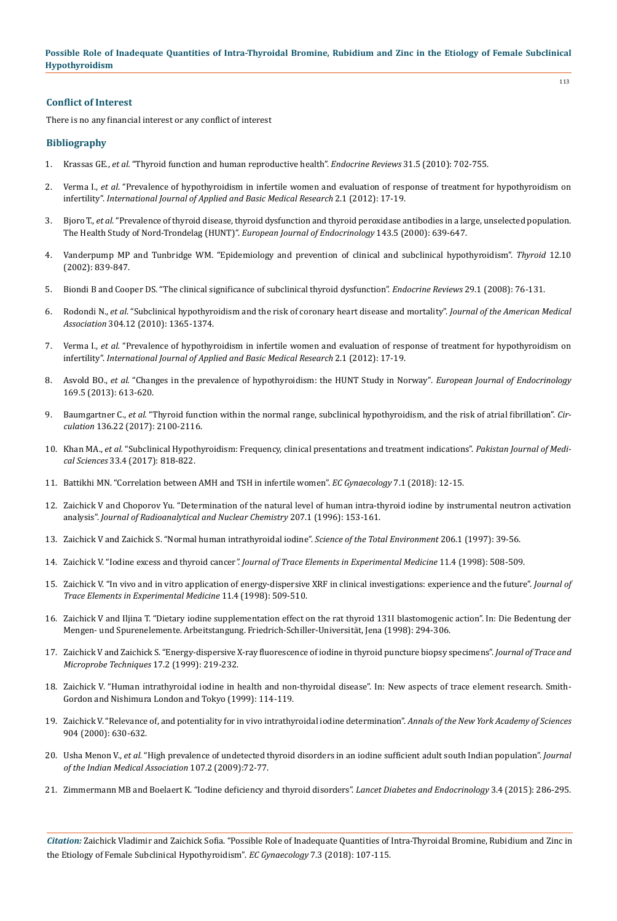113

### **Conflict of Interest**

There is no any financial interest or any conflict of interest

#### **Bibliography**

- 1. Krassas GE., *et al.* ["Thyroid function and human reproductive health".](https://www.ncbi.nlm.nih.gov/pubmed/20573783) *Endocrine Reviews* 31.5 (2010): 702-755.
- 2. Verma I., *et al*[. "Prevalence of hypothyroidism in infertile women and evaluation of response of treatment for hypothyroidism on](https://www.ncbi.nlm.nih.gov/pmc/articles/PMC3657979/) infertility". *[International Journal of Applied and Basic Medical Research](https://www.ncbi.nlm.nih.gov/pmc/articles/PMC3657979/)* 2.1 (2012): 17-19.
- 3. Bjoro T., *et al.* ["Prevalence of thyroid disease, thyroid dysfunction and thyroid peroxidase antibodies in a large, unselected population.](https://www.ncbi.nlm.nih.gov/pubmed/11078988)  [The Health Study of Nord-Trondelag \(HUNT\)".](https://www.ncbi.nlm.nih.gov/pubmed/11078988) *European Journal of Endocrinology* 143.5 (2000): 639-647.
- 4. [Vanderpump MP and Tunbridge WM. "Epidemiology and prevention of clinical and subclinical hypothyroidism".](https://www.ncbi.nlm.nih.gov/pubmed/12487765) *Thyroid* 12.10 [\(2002\): 839-847.](https://www.ncbi.nlm.nih.gov/pubmed/12487765)
- 5. [Biondi B and Cooper DS. "The clinical significance of subclinical thyroid dysfunction".](https://www.ncbi.nlm.nih.gov/pubmed/17991805) *Endocrine Reviews* 29.1 (2008): 76-131.
- 6. Rodondi N., *et al*[. "Subclinical hypothyroidism and the risk of coronary heart disease and mortality".](file:///B:/EC-pdf%27s/ECGY/ECGY-18-RA-306---00198/Prevalence%20of%20hypothyroidism%20in%20infertile%20women%20and%20evaluation%20of%20response%20of%20treatment%20for%20hypothyroidism%20on%20infertility) *Journal of the American Medical Association* [304.12 \(2010\): 1365-1374.](file:///B:/EC-pdf%27s/ECGY/ECGY-18-RA-306---00198/Prevalence%20of%20hypothyroidism%20in%20infertile%20women%20and%20evaluation%20of%20response%20of%20treatment%20for%20hypothyroidism%20on%20infertility)
- 7. Verma I., *et al.* ["Prevalence of hypothyroidism in infertile women and evaluation of response of treatment for hypothyroidism on](https://www.ncbi.nlm.nih.gov/pmc/articles/PMC3657979/) infertility". *[International Journal of Applied and Basic Medical Research](https://www.ncbi.nlm.nih.gov/pmc/articles/PMC3657979/)* 2.1 (2012): 17-19.
- 8. Asvold BO., *et al.* ["Changes in the prevalence of hypothyroidism: the HUNT Study in Norway"](https://www.ncbi.nlm.nih.gov/pubmed/23975540)*. European Journal of Endocrinology* [169.5 \(2013\): 613-620.](https://www.ncbi.nlm.nih.gov/pubmed/23975540)
- 9. Baumgartner C., *et al.* ["Thyroid function within the normal range, subclinical hypothyroidism, and the risk of atrial fibrillation".](https://www.ncbi.nlm.nih.gov/pubmed/29061566) *Circulation* [136.22 \(2017\): 2100-2116.](https://www.ncbi.nlm.nih.gov/pubmed/29061566)
- 10. Khan MA., *et al.* ["Subclinical Hypothyroidism: Frequency, clinical presentations and treatment indications".](https://www.ncbi.nlm.nih.gov/pmc/articles/PMC5648945/) *Pakistan Journal of Medical Sciences* [33.4 \(2017\): 818-822.](https://www.ncbi.nlm.nih.gov/pmc/articles/PMC5648945/)
- 11. [Battikhi MN. "Correlation between AMH and TSH in infertile women".](https://www.ecronicon.com/ecgy/pdf/ECGY-07-00182.pdf) *EC Gynaecology* 7.1 (2018): 12-15.
- 12. [Zaichick V and Choporov Yu. "Determination of the natural level of human intra-thyroid iodine by instrumental neutron activation](https://link.springer.com/article/10.1007/BF02036535) analysis". *[Journal of Radioanalytical and Nuclear Chemistry](https://link.springer.com/article/10.1007/BF02036535)* 207.1 (1996): 153-161.
- 13. [Zaichick V and Zaichick S. "Normal human intrathyroidal iodine".](https://www.sciencedirect.com/science/article/pii/S0048969797002155) *Science of the Total Environment* 206.1 (1997): 39-56.
- 14. Zaichick V. "Iodine excess and thyroid cancer*". Journal of Trace Elements in Experimental Medicine* 11.4 (1998): 508-509.
- 15. Zaichick V. "In vivo and in vitro application of energy-dispersive XRF in clinical investigations: experience and the future". *Journal of Trace Elements in Experimental Medicine* 11.4 (1998): 509-510.
- 16. Zaichick V and Iljina T. "Dietary iodine supplementation effect on the rat thyroid 131I blastomogenic action". In: Die Bedentung der Mengen- und Spurenelemente. Arbeitstangung. Friedrich-Schiller-Universität, Jena (1998): 294-306.
- 17. [Zaichick V and Zaichick S. "Energy-dispersive X-ray fluorescence of iodine in thyroid puncture biopsy specimens".](https://eurekamag.com/research/010/588/010588090.php) *Journal of Trace and [Microprobe Techniques](https://eurekamag.com/research/010/588/010588090.php)* 17.2 (1999): 219-232.
- 18. Zaichick V. "Human intrathyroidal iodine in health and non-thyroidal disease". In: New aspects of trace element research. Smith-Gordon and Nishimura London and Tokyo (1999): 114-119.
- 19. [Zaichick V. "Relevance of, and potentiality for in vivo intrathyroidal iodine determination".](https://www.ncbi.nlm.nih.gov/pubmed/10865819) *Annals of the New York Academy of Sciences* [904 \(2000\): 630-632.](https://www.ncbi.nlm.nih.gov/pubmed/10865819)
- 20. Usha Menon V., *et al.* ["High prevalence of undetected thyroid disorders in an iodine sufficient adult south Indian population".](https://www.ncbi.nlm.nih.gov/pubmed/19585813) *Journal [of the Indian Medical Association](https://www.ncbi.nlm.nih.gov/pubmed/19585813)* 107.2 (2009):72-77.
- 21. [Zimmermann MB and Boelaert K. "Iodine deficiency and thyroid disorders".](https://www.ncbi.nlm.nih.gov/pubmed/25591468) *Lancet Diabetes and Endocrinology* 3.4 (2015): 286-295.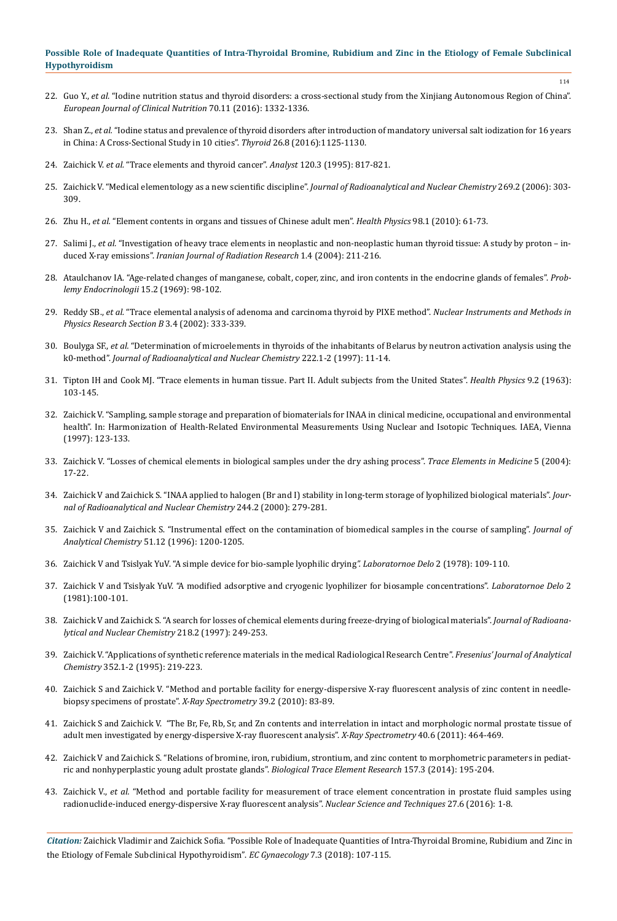- 22. Guo Y., *et al.* ["Iodine nutrition status and thyroid disorders: a cross-sectional study from the Xinjiang Autonomous Region of China".](https://www.ncbi.nlm.nih.gov/pubmed/27188916)  *[European Journal of Clinical Nutrition](https://www.ncbi.nlm.nih.gov/pubmed/27188916)* 70.11 (2016): 1332-1336.
- 23. Shan Z., *et al.* ["Iodine status and prevalence of thyroid disorders after introduction of mandatory universal salt iodization for 16 years](https://www.ncbi.nlm.nih.gov/pubmed/27370068) [in China: A Cross-Sectional Study in 10 cities".](https://www.ncbi.nlm.nih.gov/pubmed/27370068) *Thyroid* 26.8 (2016):1125-1130.
- 24. Zaichick V. *et al.* ["Trace elements and thyroid cancer".](https://www.ncbi.nlm.nih.gov/pubmed/7741233) *Analyst* 120.3 (1995): 817-821.
- 25. Zaichick V. "Medical elementology as a new scientific discipline". *[Journal of Radioanalytical and Nuclear Chemistry](https://link.springer.com/article/10.1007/s10967-006-0383-3)* 269.2 (2006): 303- [309.](https://link.springer.com/article/10.1007/s10967-006-0383-3)
- 26. Zhu H., *et al.* ["Element contents in organs and tissues of Chinese adult men".](https://www.ncbi.nlm.nih.gov/pubmed/19959952) *Health Physics* 98.1 (2010): 61-73.
- 27. Salimi J., *et al.* ["Investigation of heavy trace elements in neoplastic and non-neoplastic human thyroid tissue: A study by proton in](https://inis.iaea.org/search/search.aspx?orig_q=RN:35074722)duced X-ray emissions". *[Iranian Journal of Radiation Research](https://inis.iaea.org/search/search.aspx?orig_q=RN:35074722)* 1.4 (2004): 211-216.
- 28. Ataulchanov IA. "Age-related changes of manganese, cobalt, coper, zinc, and iron contents in the endocrine glands of females". *Problemy Endocrinologii* 15.2 (1969): 98-102.
- 29. Reddy SB., *et al.* ["Trace elemental analysis of adenoma and carcinoma thyroid by PIXE method".](https://www.sciencedirect.com/science/article/pii/S0168583X02012922) *Nuclear Instruments and Methods in [Physics Research Section B](https://www.sciencedirect.com/science/article/pii/S0168583X02012922)* 3.4 (2002): 333-339.
- 30. Boulyga SF., *et al.* ["Determination of microelements in thyroids of the inhabitants of Belarus by neutron activation analysis using the](https://link.springer.com/article/10.1007/BF02034238)  k0-method". *[Journal of Radioanalytical and Nuclear Chemistry](https://link.springer.com/article/10.1007/BF02034238)* 222.1-2 (1997): 11-14.
- 31. [Tipton IH and Cook MJ. "Trace elements in human tissue. Part II. Adult subjects from the United States".](https://journals.lww.com/health-physics/Abstract/1963/02000/Trace_Elements_in_Human_Tissue_Part_II__Adult.2.aspx) *Health Physics* 9.2 (1963): [103-145.](https://journals.lww.com/health-physics/Abstract/1963/02000/Trace_Elements_in_Human_Tissue_Part_II__Adult.2.aspx)
- 32. [Zaichick V. "Sampling, sample storage and preparation of biomaterials for INAA in clinical medicine, occupational and environmental](https://inis.iaea.org/search/search.aspx?orig_q=RN:29019688)  [health". In: Harmonization of Health-Related Environmental Measurements Using Nuclear and Isotopic Techniques. IAEA, Vienna](https://inis.iaea.org/search/search.aspx?orig_q=RN:29019688) [\(1997\): 123-133.](https://inis.iaea.org/search/search.aspx?orig_q=RN:29019688)
- 33. Zaichick V. "Losses of chemical elements in biological samples under the dry ashing process". *Trace Elements in Medicine* 5 (2004): 17-22.
- 34. [Zaichick V and Zaichick S. "INAA applied to halogen \(Br and I\) stability in long-term storage of lyophilized biological materials".](https://link.springer.com/article/10.1023/A%3A1006734114204) *Jour[nal of Radioanalytical and Nuclear Chemistry](https://link.springer.com/article/10.1023/A%3A1006734114204)* 244.2 (2000): 279-281.
- 35. [Zaichick V and Zaichick S. "Instrumental effect on the contamination of biomedical samples in the course of sampling".](https://inis.iaea.org/search/search.aspx?orig_q=RN:28056394) *Journal of Analytical Chemistry* [51.12 \(1996\): 1200-1205.](https://inis.iaea.org/search/search.aspx?orig_q=RN:28056394)
- 36. Zaichick V and Tsislyak YuV. "A simple device for bio-sample lyophilic drying*". Laboratornoe Delo* 2 (1978): 109-110.
- 37. Zaichick V and Tsislyak YuV. "A modified adsorptive and cryogenic lyophilizer for biosample concentrations". *Laboratornoe Delo* 2 (1981):100-101.
- 38. [Zaichick V and Zaichick S. "A search for losses of chemical elements during freeze-drying of biological materials".](https://link.springer.com/article/10.1007/BF02039345) *Journal of Radioana[lytical and Nuclear Chemistry](https://link.springer.com/article/10.1007/BF02039345)* 218.2 (1997): 249-253.
- 39. [Zaichick V. "Applications of synthetic reference materials in the medical Radiological Research Centre".](https://link.springer.com/article/10.1007/BF00322330) *Fresenius' Journal of Analytical Chemistry* [352.1-2 \(1995\): 219-223.](https://link.springer.com/article/10.1007/BF00322330)
- 40. [Zaichick S and Zaichick V. "Method and portable facility for energy-dispersive X-ray fluorescent analysis of zinc content in needle](http://onlinelibrary.wiley.com/doi/10.1002/xrs.1233/abstract)[biopsy specimens of prostate".](http://onlinelibrary.wiley.com/doi/10.1002/xrs.1233/abstract) *X-Ray Spectrometry* 39.2 (2010): 83-89.
- 41. [Zaichick S and Zaichick V. "The Br, Fe, Rb, Sr, and Zn contents and interrelation in intact and morphologic normal prostate tissue of](http://onlinelibrary.wiley.com/doi/10.1002/xrs.1370/abstract) [adult men investigated by energy-dispersive X-ray fluorescent analysis".](http://onlinelibrary.wiley.com/doi/10.1002/xrs.1370/abstract) *X-Ray Spectrometry* 40.6 (2011): 464-469.
- 42. [Zaichick V and Zaichick S. "Relations of bromine, iron, rubidium, strontium, and zinc content to morphometric parameters in pediat](https://www.ncbi.nlm.nih.gov/pubmed/24435825)[ric and nonhyperplastic young adult prostate glands".](https://www.ncbi.nlm.nih.gov/pubmed/24435825) *Biological Trace Element Research* 157.3 (2014): 195-204.
- 43. Zaichick V., *et al.* ["Method and portable facility for measurement of trace element concentration in prostate fluid samples using](https://link.springer.com/article/10.1007/s41365-016-0133-3) [radionuclide-induced energy-dispersive X-ray fluorescent analysis".](https://link.springer.com/article/10.1007/s41365-016-0133-3) *Nuclear Science and Techniques* 27.6 (2016): 1-8.

*Citation:* Zaichick Vladimir and Zaichick Sofia. "Possible Role of Inadequate Quantities of Intra-Thyroidal Bromine, Rubidium and Zinc in the Etiology of Female Subclinical Hypothyroidism". *EC Gynaecology* 7.3 (2018): 107-115.